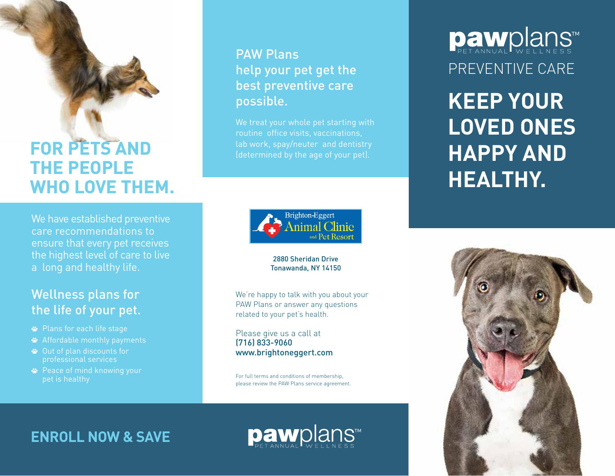### **FOR PETS AND THE PEOPLE**  FOR PETS AND<br>THE PEOPLE<br>WHO LOVE THEM.

We have established preventive We have established preventive care recommendations to ensure that every pet receives the highest level of care to live a long and healthy life. care recommendations to<br>ensure that every pet receives<br>the highest level of care to live<br>a long and healthy life.

#### Wellness plans for<br>the life of your pet. the life of your pet.

- Plans for each life stage Plans for each life stage
- 
- Out of plan discounts for professional services Out of plan discounts for professional services
- Peace of mind knowing your Peace of mind knowing your pet is healthy pet is healthy

#### **PAW Plans** help your pet get the best preventive care possible. PAW Plans<br>help your pet get the<br>best preventive care<br>possible.

We treat your whole pet starting with routine office visits, vaccinations, lab work, spay/neuter and dentistry (determined by the age of your pet). We treat your whole pet starting with<br>routine office visits, vaccinations,<br>lab work, spay/neuter and dentistry<br>(determined by the age of your pet).



#### 2880 Sheridan Drive Tonawanda, NY 14150

We're happy to talk with you about your PAW Plans or answer any questions related to your pet's health.

Please give us a call at (716) 833-9060 www.brightoneggert.com

For full terms and conditions of membership, please review the PAW Plans service agreement.

™ ™PREVENTIVE CARE PREVENTIVE CARE

**KEEP YOUR LOVED ONES HAPPY AND HEALTHY. KEEP YOUR LOVED ONES HAPPY AND HEALTHY.**



#### **ENROLL NOW & SAVE ■ ■ PAW** PLANS™